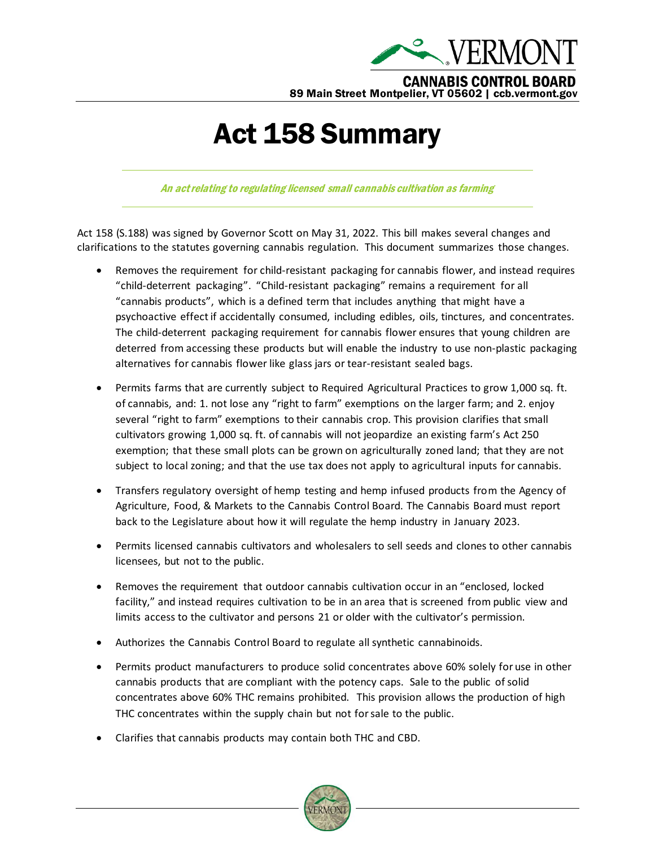

## Act 158 Summary

An act relating to regulating licensed small cannabis cultivation as farming

Act 158 (S.188) was signed by Governor Scott on May 31, 2022. This bill makes several changes and clarifications to the statutes governing cannabis regulation. This document summarizes those changes.

- Removes the requirement for child-resistant packaging for cannabis flower, and instead requires "child-deterrent packaging". "Child-resistant packaging" remains a requirement for all "cannabis products", which is a defined term that includes anything that might have a psychoactive effect if accidentally consumed, including edibles, oils, tinctures, and concentrates. The child-deterrent packaging requirement for cannabis flower ensures that young children are deterred from accessing these products but will enable the industry to use non-plastic packaging alternatives for cannabis flower like glass jars or tear-resistant sealed bags.
- Permits farms that are currently subject to Required Agricultural Practices to grow 1,000 sq. ft. of cannabis, and: 1. not lose any "right to farm" exemptions on the larger farm; and 2. enjoy several "right to farm" exemptions to their cannabis crop. This provision clarifies that small cultivators growing 1,000 sq. ft. of cannabis will not jeopardize an existing farm's Act 250 exemption; that these small plots can be grown on agriculturally zoned land; that they are not subject to local zoning; and that the use tax does not apply to agricultural inputs for cannabis.
- Transfers regulatory oversight of hemp testing and hemp infused products from the Agency of Agriculture, Food, & Markets to the Cannabis Control Board. The Cannabis Board must report back to the Legislature about how it will regulate the hemp industry in January 2023.
- Permits licensed cannabis cultivators and wholesalers to sell seeds and clones to other cannabis licensees, but not to the public.
- Removes the requirement that outdoor cannabis cultivation occur in an "enclosed, locked facility," and instead requires cultivation to be in an area that is screened from public view and limits access to the cultivator and persons 21 or older with the cultivator's permission.
- Authorizes the Cannabis Control Board to regulate all synthetic cannabinoids.
- Permits product manufacturers to produce solid concentrates above 60% solely for use in other cannabis products that are compliant with the potency caps. Sale to the public of solid concentrates above 60% THC remains prohibited. This provision allows the production of high THC concentrates within the supply chain but not for sale to the public.
- Clarifies that cannabis products may contain both THC and CBD.